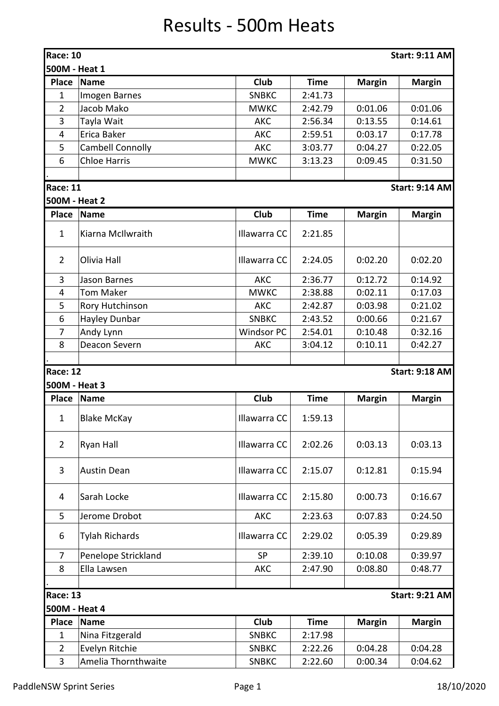## Results - 500m Heats

| <b>Race: 10</b> |                         |                   |             |               | <b>Start: 9:11 AM</b> |
|-----------------|-------------------------|-------------------|-------------|---------------|-----------------------|
| 500M - Heat 1   |                         |                   |             |               |                       |
| <b>Place</b>    | <b>Name</b>             | Club              | <b>Time</b> | <b>Margin</b> | <b>Margin</b>         |
| 1               | Imogen Barnes           | <b>SNBKC</b>      | 2:41.73     |               |                       |
| $\overline{2}$  | Jacob Mako              | <b>MWKC</b>       | 2:42.79     | 0:01.06       | 0:01.06               |
| 3               | Tayla Wait              | <b>AKC</b>        | 2:56.34     | 0:13.55       | 0:14.61               |
| $\overline{4}$  | Erica Baker             | AKC               | 2:59.51     | 0:03.17       | 0:17.78               |
| 5               | <b>Cambell Connolly</b> | <b>AKC</b>        | 3:03.77     | 0:04.27       | 0:22.05               |
| 6               | <b>Chloe Harris</b>     | <b>MWKC</b>       | 3:13.23     | 0:09.45       | 0:31.50               |
|                 |                         |                   |             |               |                       |
| <b>Race: 11</b> |                         |                   |             |               | <b>Start: 9:14 AM</b> |
| 500M - Heat 2   |                         |                   |             |               |                       |
| <b>Place</b>    | Name                    | Club              | <b>Time</b> | <b>Margin</b> | <b>Margin</b>         |
| $\mathbf{1}$    | Kiarna McIlwraith       | Illawarra CC      | 2:21.85     |               |                       |
|                 |                         |                   |             |               |                       |
| $\overline{2}$  | Olivia Hall             | Illawarra CC      | 2:24.05     | 0:02.20       | 0:02.20               |
| 3               | Jason Barnes            | AKC               | 2:36.77     | 0:12.72       | 0:14.92               |
| 4               | <b>Tom Maker</b>        | <b>MWKC</b>       | 2:38.88     | 0:02.11       | 0:17.03               |
| 5               | Rory Hutchinson         | <b>AKC</b>        | 2:42.87     | 0:03.98       | 0:21.02               |
| 6               | Hayley Dunbar           | <b>SNBKC</b>      | 2:43.52     | 0:00.66       | 0:21.67               |
| 7               | Andy Lynn               | <b>Windsor PC</b> | 2:54.01     | 0:10.48       | 0:32.16               |
| 8               | Deacon Severn           | AKC               | 3:04.12     | 0:10.11       | 0:42.27               |
|                 |                         |                   |             |               |                       |
| <b>Race: 12</b> |                         |                   |             |               | <b>Start: 9:18 AM</b> |
| 500M - Heat 3   |                         |                   |             |               |                       |
| <b>Place</b>    | Name                    | Club              | <b>Time</b> | <b>Margin</b> | <b>Margin</b>         |
| $\mathbf{1}$    | <b>Blake McKay</b>      | Illawarra CC      | 1:59.13     |               |                       |
| $\overline{2}$  | Ryan Hall               | Illawarra CC      | 2:02.26     | 0:03.13       | 0:03.13               |
| 3               | <b>Austin Dean</b>      | Illawarra CC      | 2:15.07     | 0:12.81       | 0:15.94               |
| 4               | Sarah Locke             | Illawarra CC      | 2:15.80     | 0:00.73       | 0:16.67               |
| 5               | Jerome Drobot           | AKC               | 2:23.63     | 0:07.83       | 0:24.50               |
| 6               | Tylah Richards          | Illawarra CC      | 2:29.02     | 0:05.39       | 0:29.89               |
| $\overline{7}$  | Penelope Strickland     | <b>SP</b>         | 2:39.10     | 0:10.08       | 0:39.97               |
| 8               | Ella Lawsen             | <b>AKC</b>        | 2:47.90     | 0:08.80       | 0:48.77               |
|                 |                         |                   |             |               |                       |
| <b>Race: 13</b> |                         |                   |             |               | <b>Start: 9:21 AM</b> |
| 500M - Heat 4   |                         |                   |             |               |                       |
| <b>Place</b>    | <b>Name</b>             | <b>Club</b>       | <b>Time</b> | <b>Margin</b> | <b>Margin</b>         |
| 1               | Nina Fitzgerald         | <b>SNBKC</b>      | 2:17.98     |               |                       |
| $\overline{2}$  | Evelyn Ritchie          | <b>SNBKC</b>      | 2:22.26     | 0:04.28       | 0:04.28               |
| 3               | Amelia Thornthwaite     | <b>SNBKC</b>      | 2:22.60     | 0:00.34       | 0:04.62               |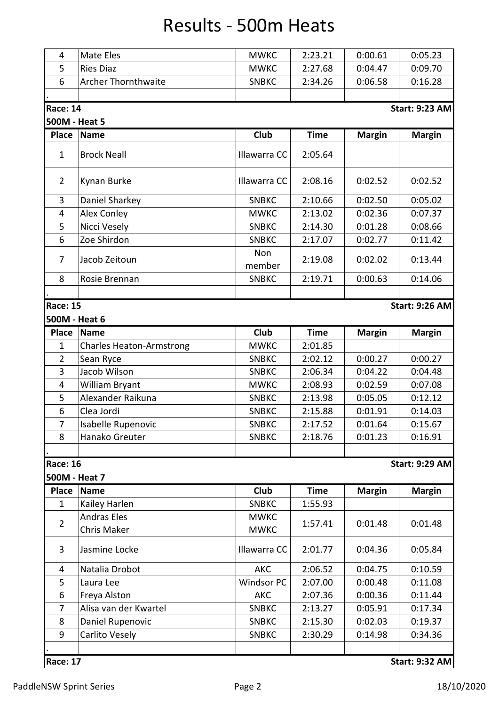## Results - 500m Heats

| 4                       | Mate Eles                       | <b>MWKC</b>       | 2:23.21     | 0:00.61       | 0:05.23               |
|-------------------------|---------------------------------|-------------------|-------------|---------------|-----------------------|
| 5                       | <b>Ries Diaz</b>                | <b>MWKC</b>       | 2:27.68     | 0:04.47       | 0:09.70               |
| 6                       | <b>Archer Thornthwaite</b>      | <b>SNBKC</b>      | 2:34.26     | 0:06.58       | 0:16.28               |
|                         |                                 |                   |             |               |                       |
| <b>Race: 14</b>         |                                 |                   |             |               | <b>Start: 9:23 AM</b> |
| 500M - Heat 5           |                                 |                   |             |               |                       |
| <b>Place</b>            | <b>Name</b>                     | Club              | <b>Time</b> | <b>Margin</b> | <b>Margin</b>         |
|                         |                                 |                   |             |               |                       |
| $\mathbf{1}$            | <b>Brock Neall</b>              | Illawarra CC      | 2:05.64     |               |                       |
| $\overline{2}$          | Kynan Burke                     | Illawarra CC      | 2:08.16     | 0:02.52       | 0:02.52               |
| 3                       | Daniel Sharkey                  | <b>SNBKC</b>      | 2:10.66     | 0:02.50       | 0:05.02               |
| 4                       | <b>Alex Conley</b>              | <b>MWKC</b>       | 2:13.02     | 0:02.36       | 0:07.37               |
| 5                       | Nicci Vesely                    | <b>SNBKC</b>      | 2:14.30     | 0:01.28       | 0:08.66               |
| 6                       | Zoe Shirdon                     | <b>SNBKC</b>      | 2:17.07     | 0:02.77       | 0:11.42               |
| $\overline{7}$          | Jacob Zeitoun                   | Non<br>member     | 2:19.08     | 0:02.02       | 0:13.44               |
| 8                       | Rosie Brennan                   | <b>SNBKC</b>      | 2:19.71     | 0:00.63       | 0:14.06               |
| <b>Race: 15</b>         |                                 |                   |             |               | <b>Start: 9:26 AM</b> |
| 500M - Heat 6           |                                 |                   |             |               |                       |
| <b>Place</b>            | <b>Name</b>                     | Club              | <b>Time</b> | <b>Margin</b> | <b>Margin</b>         |
| $\mathbf{1}$            | <b>Charles Heaton-Armstrong</b> | <b>MWKC</b>       | 2:01.85     |               |                       |
| $\overline{2}$          | Sean Ryce                       | <b>SNBKC</b>      | 2:02.12     | 0:00.27       | 0:00.27               |
| 3                       | Jacob Wilson                    | <b>SNBKC</b>      | 2:06.34     | 0:04.22       | 0:04.48               |
| $\overline{\mathbf{4}}$ | William Bryant                  | <b>MWKC</b>       | 2:08.93     | 0:02.59       | 0:07.08               |
| 5                       | Alexander Raikuna               | <b>SNBKC</b>      | 2:13.98     | 0:05.05       | 0:12.12               |
| 6                       | Clea Jordi                      | <b>SNBKC</b>      | 2:15.88     | 0:01.91       | 0:14.03               |
| 7                       | Isabelle Rupenovic              | <b>SNBKC</b>      | 2:17.52     | 0:01.64       | 0:15.67               |
| 8                       | Hanako Greuter                  | <b>SNBKC</b>      | 2:18.76     | 0:01.23       | 0:16.91               |
| <b>Race: 16</b>         |                                 |                   |             |               | <b>Start: 9:29 AM</b> |
| 500M - Heat 7           |                                 |                   |             |               |                       |
| <b>Place</b>            | <b>Name</b>                     | Club              | <b>Time</b> | <b>Margin</b> | <b>Margin</b>         |
| $\mathbf{1}$            | Kailey Harlen                   | <b>SNBKC</b>      | 1:55.93     |               |                       |
|                         | <b>Andras Eles</b>              | <b>MWKC</b>       |             |               |                       |
| $\overline{2}$          | <b>Chris Maker</b>              | <b>MWKC</b>       | 1:57.41     | 0:01.48       | 0:01.48               |
| 3                       | Jasmine Locke                   | Illawarra CC      | 2:01.77     | 0:04.36       | 0:05.84               |
| 4                       | Natalia Drobot                  | <b>AKC</b>        | 2:06.52     | 0:04.75       | 0:10.59               |
| 5                       | Laura Lee                       | <b>Windsor PC</b> | 2:07.00     | 0:00.48       | 0:11.08               |
| 6                       | Freya Alston                    | AKC               | 2:07.36     | 0:00.36       | 0:11.44               |
| $\overline{7}$          | Alisa van der Kwartel           | <b>SNBKC</b>      | 2:13.27     | 0:05.91       | 0:17.34               |
| 8                       | Daniel Rupenovic                | <b>SNBKC</b>      | 2:15.30     | 0:02.03       | 0:19.37               |
| 9                       | Carlito Vesely                  | <b>SNBKC</b>      | 2:30.29     | 0:14.98       | 0:34.36               |
|                         |                                 |                   |             |               |                       |
| <b>Race: 17</b>         |                                 |                   |             |               | <b>Start: 9:32 AM</b> |